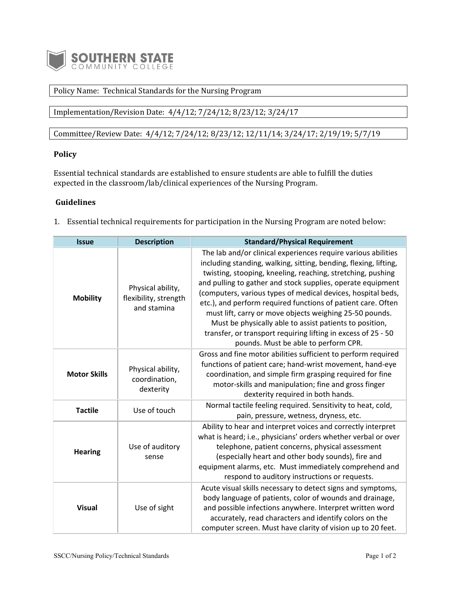

## Policy Name: Technical Standards for the Nursing Program

Implementation/Revision Date: 4/4/12; 7/24/12; 8/23/12; 3/24/17

Committee/Review Date: 4/4/12; 7/24/12; 8/23/12; 12/11/14; 3/24/17; 2/19/19; 5/7/19

## **Policy**

Essential technical standards are established to ensure students are able to fulfill the duties expected in the classroom/lab/clinical experiences of the Nursing Program.

## **Guidelines**

1. Essential technical requirements for participation in the Nursing Program are noted below:

| <b>Issue</b>        | <b>Description</b>                                        | <b>Standard/Physical Requirement</b>                                                                                                                                                                                                                                                                                                                                                                                                                                                                                                                                                                                           |
|---------------------|-----------------------------------------------------------|--------------------------------------------------------------------------------------------------------------------------------------------------------------------------------------------------------------------------------------------------------------------------------------------------------------------------------------------------------------------------------------------------------------------------------------------------------------------------------------------------------------------------------------------------------------------------------------------------------------------------------|
| <b>Mobility</b>     | Physical ability,<br>flexibility, strength<br>and stamina | The lab and/or clinical experiences require various abilities<br>including standing, walking, sitting, bending, flexing, lifting,<br>twisting, stooping, kneeling, reaching, stretching, pushing<br>and pulling to gather and stock supplies, operate equipment<br>(computers, various types of medical devices, hospital beds,<br>etc.), and perform required functions of patient care. Often<br>must lift, carry or move objects weighing 25-50 pounds.<br>Must be physically able to assist patients to position,<br>transfer, or transport requiring lifting in excess of 25 - 50<br>pounds. Must be able to perform CPR. |
| <b>Motor Skills</b> | Physical ability,<br>coordination,<br>dexterity           | Gross and fine motor abilities sufficient to perform required<br>functions of patient care; hand-wrist movement, hand-eye<br>coordination, and simple firm grasping required for fine<br>motor-skills and manipulation; fine and gross finger<br>dexterity required in both hands.                                                                                                                                                                                                                                                                                                                                             |
| <b>Tactile</b>      | Use of touch                                              | Normal tactile feeling required. Sensitivity to heat, cold,<br>pain, pressure, wetness, dryness, etc.                                                                                                                                                                                                                                                                                                                                                                                                                                                                                                                          |
| <b>Hearing</b>      | Use of auditory<br>sense                                  | Ability to hear and interpret voices and correctly interpret<br>what is heard; i.e., physicians' orders whether verbal or over<br>telephone, patient concerns, physical assessment<br>(especially heart and other body sounds), fire and<br>equipment alarms, etc. Must immediately comprehend and<br>respond to auditory instructions or requests.                                                                                                                                                                                                                                                                            |
| <b>Visual</b>       | Use of sight                                              | Acute visual skills necessary to detect signs and symptoms,<br>body language of patients, color of wounds and drainage,<br>and possible infections anywhere. Interpret written word<br>accurately, read characters and identify colors on the<br>computer screen. Must have clarity of vision up to 20 feet.                                                                                                                                                                                                                                                                                                                   |